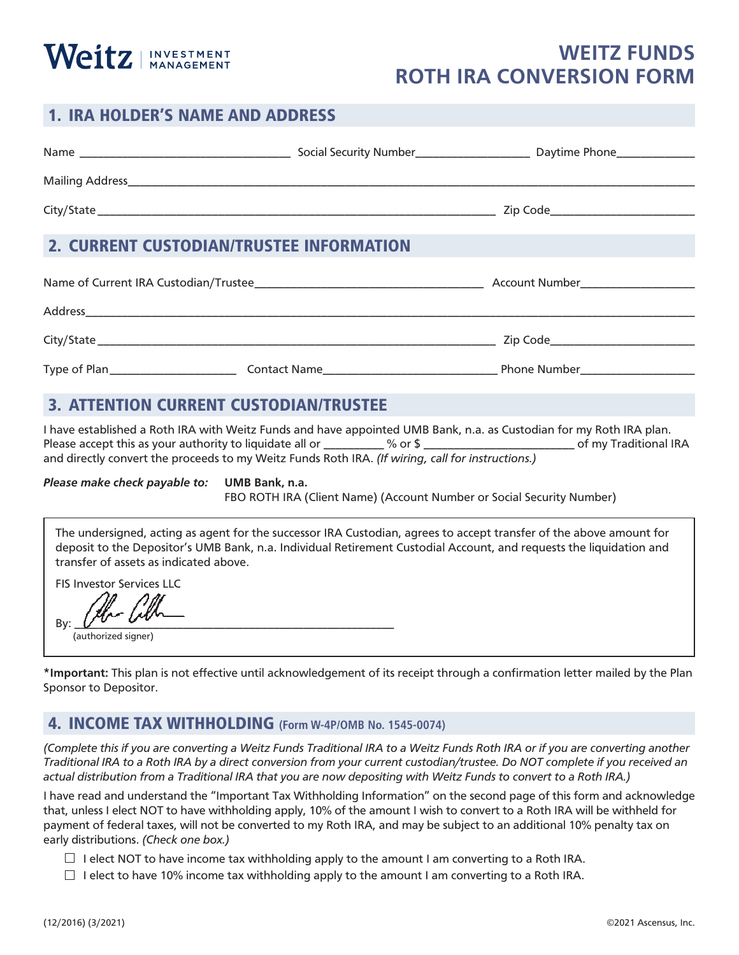# 1. IRA HOLDER'S NAME AND ADDRESS

Weitz | INVESTMENT

| 1. IRA HOLDER'S NAME AND ADDRESS |                                 |  |
|----------------------------------|---------------------------------|--|
|                                  | Daytime Phone______________     |  |
|                                  |                                 |  |
|                                  | Zip Code_______________________ |  |
|                                  |                                 |  |

#### 2. CURRENT CUSTODIAN/TRUSTEE INFORMATION

| Name of Current IRA Custodian/Trustee_ | Account Number      |              |
|----------------------------------------|---------------------|--------------|
| Address                                |                     |              |
| City/State                             |                     | Zip Code     |
| Type of Plan                           | <b>Contact Name</b> | Phone Number |

#### 3. ATTENTION CURRENT CUSTODIAN/TRUSTEE

I have established a Roth IRA with Weitz Funds and have appointed UMB Bank, n.a. as Custodian for my Roth IRA plan. Please accept this as your authority to liquidate all or \_\_\_\_\_\_\_\_\_\_% or \$ \_\_\_\_\_\_\_\_\_\_\_\_\_\_\_\_\_\_\_\_\_\_\_\_\_\_\_\_\_\_\_\_\_ of my Traditional IRA and directly convert the proceeds to my Weitz Funds Roth IRA. *(If wiring, call for instructions.)*

*Please make check payable to:* **UMB Bank, n.a.**

FBO ROTH IRA (Client Name) (Account Number or Social Security Number)

The undersigned, acting as agent for the successor IRA Custodian, agrees to accept transfer of the above amount for deposit to the Depositor's UMB Bank, n.a. Individual Retirement Custodial Account, and requests the liquidation and transfer of assets as indicated above.

FIS Investor Services LLC

By:  $\sqrt{V}$   $\sqrt{V}$ 

(authorized signer)

**\*Important:** This plan is not effective until acknowledgement of its receipt through a confirmation letter mailed by the Plan Sponsor to Depositor.

#### 4. INCOME TAX WITHHOLDING **(Form W-4P/OMB No. 1545-0074)**

*(Complete this if you are converting a Weitz Funds Traditional IRA to a Weitz Funds Roth IRA or if you are converting another Traditional IRA to a Roth IRA by a direct conversion from your current custodian/trustee. Do NOT complete if you received an actual distribution from a Traditional IRA that you are now depositing with Weitz Funds to convert to a Roth IRA.)*

I have read and understand the "Important Tax Withholding Information" on the second page of this form and acknowledge that, unless I elect NOT to have withholding apply, 10% of the amount I wish to convert to a Roth IRA will be withheld for payment of federal taxes, will not be converted to my Roth IRA, and may be subject to an additional 10% penalty tax on early distributions. *(Check one box.)* 

- $\Box$  I elect NOT to have income tax withholding apply to the amount I am converting to a Roth IRA.
- $\Box$  I elect to have 10% income tax withholding apply to the amount I am converting to a Roth IRA.

# **WEITZ FUNDS ROTH IRA CONVERSION FORM**